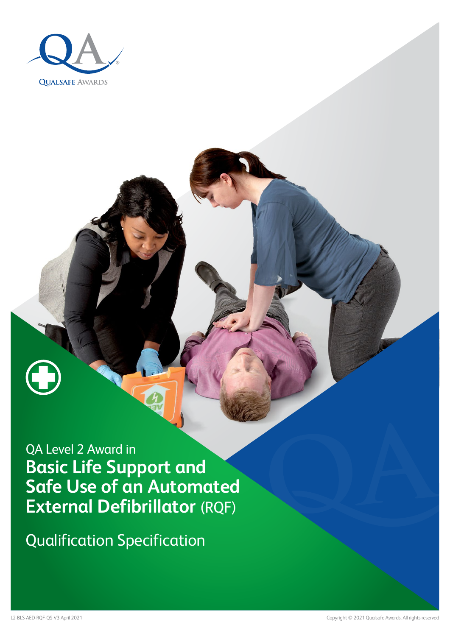

Qualification Specification

L2-BLS-AED-RQF-QS-V3 April 2021 Copyright © 2021 Qualsafe Awards. All rights reserved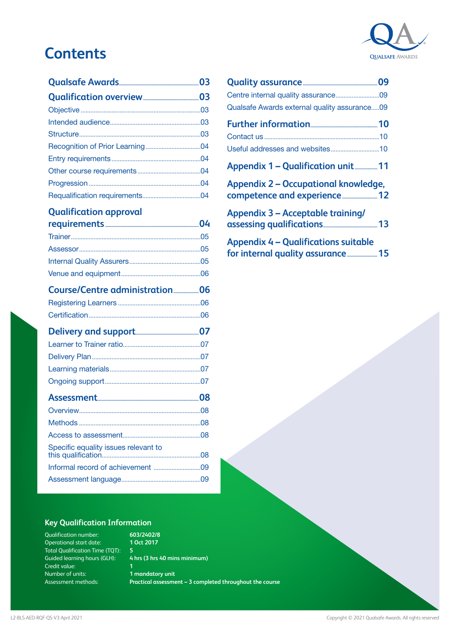# **Contents**



### **[Qualification approval](#page-3-0)**

| Specific equality issues relevant to |  |
|--------------------------------------|--|
|                                      |  |
|                                      |  |
|                                      |  |

## **[Quality assurance...........................................................09](#page-8-0)** [Centre internal quality assurance...........................09](#page-8-0) [Qualsafe Awards external quality assurance.....09](#page-8-0) **[Further information.....................................................10](#page-9-0)** Contact us [.......................................................................10](#page-9-0) [Useful addresses and websites..............................10](#page-9-0) **[Appendix 1 – Qualification unit..................11](#page-10-0) [Appendix 2 – Occupational knowledge,](#page-11-0)  [competence and experience............................12](#page-11-0) [Appendix 3 – Acceptable training/](#page-12-0) [assessing qualifications...........................................13](#page-12-0) [Appendix 4 – Qualifications suitable](#page-14-0)  [for internal quality assurance........................15](#page-14-0)**

#### **Key Qualification Information**

Qualification number: Operational start date: Total Qualification Time (TQT): **5** Guided learning hours (GLH): Credit value: Number of units: Assessment methods:

**603/2402/8 1 Oct 2017 4 hrs (3 hrs 40 mins minimum) 1 1 mandatory unit**

**Practical assessment – 3 completed throughout the course**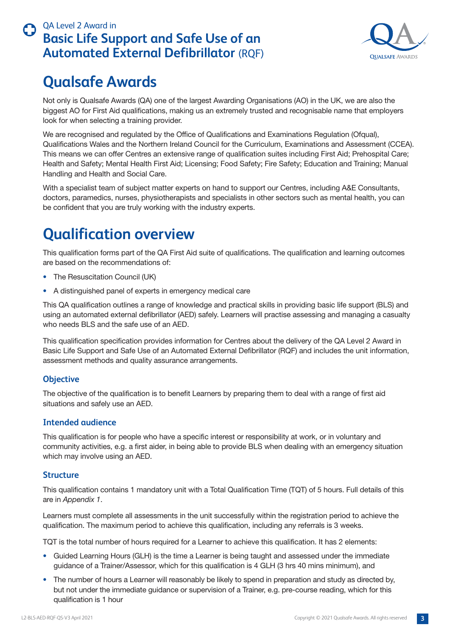

## <span id="page-2-0"></span>**Qualsafe Awards**

Not only is Qualsafe Awards (QA) one of the largest Awarding Organisations (AO) in the UK, we are also the biggest AO for First Aid qualifications, making us an extremely trusted and recognisable name that employers look for when selecting a training provider.

We are recognised and regulated by the Office of Qualifications and Examinations Regulation (Ofqual), Qualifications Wales and the Northern Ireland Council for the Curriculum, Examinations and Assessment (CCEA). This means we can offer Centres an extensive range of qualification suites including First Aid; Prehospital Care; Health and Safety; Mental Health First Aid; Licensing; Food Safety; Fire Safety; Education and Training; Manual Handling and Health and Social Care.

With a specialist team of subject matter experts on hand to support our Centres, including A&E Consultants, doctors, paramedics, nurses, physiotherapists and specialists in other sectors such as mental health, you can be confident that you are truly working with the industry experts.

# **Qualification overview**

This qualification forms part of the QA First Aid suite of qualifications. The qualification and learning outcomes are based on the recommendations of:

- The Resuscitation Council (UK)
- A distinguished panel of experts in emergency medical care

This QA qualification outlines a range of knowledge and practical skills in providing basic life support (BLS) and using an automated external defibrillator (AED) safely. Learners will practise assessing and managing a casualty who needs BLS and the safe use of an AED.

This qualification specification provides information for Centres about the delivery of the QA Level 2 Award in Basic Life Support and Safe Use of an Automated External Defibrillator (RQF) and includes the unit information, assessment methods and quality assurance arrangements.

#### **Objective**

The objective of the qualification is to benefit Learners by preparing them to deal with a range of first aid situations and safely use an AED.

#### **Intended audience**

This qualification is for people who have a specific interest or responsibility at work, or in voluntary and community activities, e.g. a first aider, in being able to provide BLS when dealing with an emergency situation which may involve using an AED.

#### **Structure**

This qualification contains 1 mandatory unit with a Total Qualification Time (TQT) of 5 hours. Full details of this are in *Appendix 1*.

Learners must complete all assessments in the unit successfully within the registration period to achieve the qualification. The maximum period to achieve this qualification, including any referrals is 3 weeks.

TQT is the total number of hours required for a Learner to achieve this qualification. It has 2 elements:

- Guided Learning Hours (GLH) is the time a Learner is being taught and assessed under the immediate guidance of a Trainer/Assessor, which for this qualification is 4 GLH (3 hrs 40 mins minimum), and
- The number of hours a Learner will reasonably be likely to spend in preparation and study as directed by, but not under the immediate guidance or supervision of a Trainer, e.g. pre-course reading, which for this qualification is 1 hour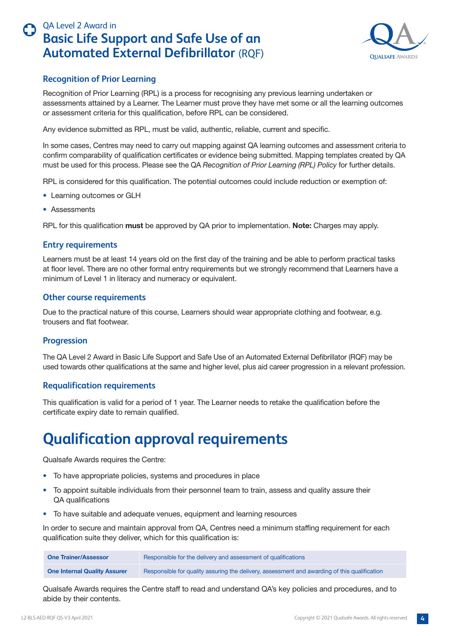

#### <span id="page-3-0"></span>**Recognition of Prior Learning**

Recognition of Prior Learning (RPL) is a process for recognising any previous learning undertaken or assessments attained by a Learner. The Learner must prove they have met some or all the learning outcomes or assessment criteria for this qualification, before RPL can be considered.

Any evidence submitted as RPL, must be valid, authentic, reliable, current and specific.

In some cases, Centres may need to carry out mapping against QA learning outcomes and assessment criteria to confirm comparability of qualification certificates or evidence being submitted. Mapping templates created by QA must be used for this process. Please see the QA *Recognition of Prior Learning (RPL) Policy* for further details.

RPL is considered for this qualification. The potential outcomes could include reduction or exemption of:

- Learning outcomes or GLH
- Assessments

RPL for this qualification **must** be approved by QA prior to implementation. **Note:** Charges may apply.

#### **Entry requirements**

Learners must be at least 14 years old on the first day of the training and be able to perform practical tasks at floor level. There are no other formal entry requirements but we strongly recommend that Learners have a minimum of Level 1 in literacy and numeracy or equivalent.

#### **Other course requirements**

Due to the practical nature of this course, Learners should wear appropriate clothing and footwear, e.g. trousers and flat footwear.

#### **Progression**

The QA Level 2 Award in Basic Life Support and Safe Use of an Automated External Defibrillator (RQF) may be used towards other qualifications at the same and higher level, plus aid career progression in a relevant profession.

#### **Requalification requirements**

This qualification is valid for a period of 1 year. The Learner needs to retake the qualification before the certificate expiry date to remain qualified.

## **Qualification approval requirements**

Qualsafe Awards requires the Centre:

- To have appropriate policies, systems and procedures in place
- To appoint suitable individuals from their personnel team to train, assess and quality assure their QA qualifications
- To have suitable and adequate venues, equipment and learning resources

In order to secure and maintain approval from QA, Centres need a minimum staffing requirement for each qualification suite they deliver, which for this qualification is:

| <b>One Trainer/Assessor</b>         | Responsible for the delivery and assessment of qualifications                                |
|-------------------------------------|----------------------------------------------------------------------------------------------|
| <b>One Internal Quality Assurer</b> | Responsible for quality assuring the delivery, assessment and awarding of this qualification |

Qualsafe Awards requires the Centre staff to read and understand QA's key policies and procedures, and to abide by their contents.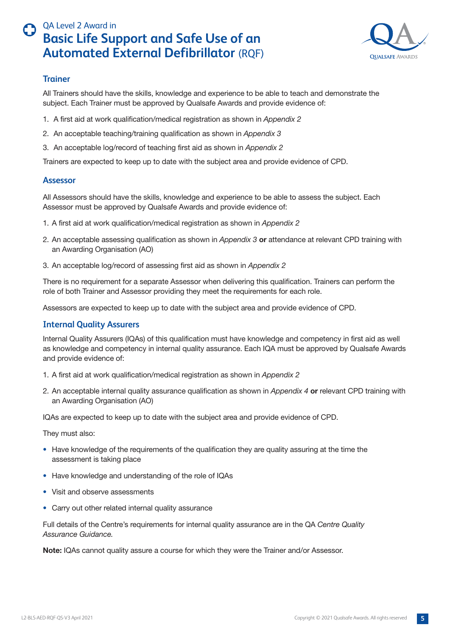

#### <span id="page-4-0"></span>**Trainer**

All Trainers should have the skills, knowledge and experience to be able to teach and demonstrate the subject. Each Trainer must be approved by Qualsafe Awards and provide evidence of:

- 1. A first aid at work qualification/medical registration as shown in *Appendix 2*
- 2. An acceptable teaching/training qualification as shown in *Appendix 3*
- 3. An acceptable log/record of teaching first aid as shown in *Appendix 2*

Trainers are expected to keep up to date with the subject area and provide evidence of CPD.

#### **Assessor**

All Assessors should have the skills, knowledge and experience to be able to assess the subject. Each Assessor must be approved by Qualsafe Awards and provide evidence of:

- 1. A first aid at work qualification/medical registration as shown in *Appendix 2*
- 2. An acceptable assessing qualification as shown in *Appendix 3* **or** attendance at relevant CPD training with an Awarding Organisation (AO)
- 3. An acceptable log/record of assessing first aid as shown in *Appendix 2*

There is no requirement for a separate Assessor when delivering this qualification. Trainers can perform the role of both Trainer and Assessor providing they meet the requirements for each role.

Assessors are expected to keep up to date with the subject area and provide evidence of CPD.

#### **Internal Quality Assurers**

Internal Quality Assurers (IQAs) of this qualification must have knowledge and competency in first aid as well as knowledge and competency in internal quality assurance. Each IQA must be approved by Qualsafe Awards and provide evidence of:

- 1. A first aid at work qualification/medical registration as shown in *Appendix 2*
- 2. An acceptable internal quality assurance qualification as shown in *Appendix 4* **or** relevant CPD training with an Awarding Organisation (AO)

IQAs are expected to keep up to date with the subject area and provide evidence of CPD.

They must also:

- Have knowledge of the requirements of the qualification they are quality assuring at the time the assessment is taking place
- Have knowledge and understanding of the role of IQAs
- Visit and observe assessments
- Carry out other related internal quality assurance

Full details of the Centre's requirements for internal quality assurance are in the QA *Centre Quality Assurance Guidance.* 

**Note:** IQAs cannot quality assure a course for which they were the Trainer and/or Assessor.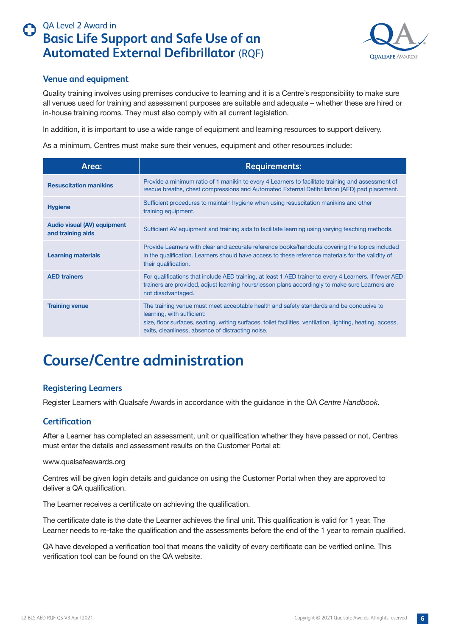

#### <span id="page-5-0"></span>**Venue and equipment**

Quality training involves using premises conducive to learning and it is a Centre's responsibility to make sure all venues used for training and assessment purposes are suitable and adequate – whether these are hired or in-house training rooms. They must also comply with all current legislation.

In addition, it is important to use a wide range of equipment and learning resources to support delivery.

As a minimum, Centres must make sure their venues, equipment and other resources include:

| Area:                                            | <b>Requirements:</b>                                                                                                                                                                                                                                                                      |
|--------------------------------------------------|-------------------------------------------------------------------------------------------------------------------------------------------------------------------------------------------------------------------------------------------------------------------------------------------|
| <b>Resuscitation manikins</b>                    | Provide a minimum ratio of 1 manikin to every 4 Learners to facilitate training and assessment of<br>rescue breaths, chest compressions and Automated External Defibrillation (AED) pad placement.                                                                                        |
| <b>Hygiene</b>                                   | Sufficient procedures to maintain hygiene when using resuscitation manikins and other<br>training equipment.                                                                                                                                                                              |
| Audio visual (AV) equipment<br>and training aids | Sufficient AV equipment and training aids to facilitate learning using varying teaching methods.                                                                                                                                                                                          |
| <b>Learning materials</b>                        | Provide Learners with clear and accurate reference books/handouts covering the topics included<br>in the qualification. Learners should have access to these reference materials for the validity of<br>their qualification.                                                              |
| <b>AED trainers</b>                              | For qualifications that include AED training, at least 1 AED trainer to every 4 Learners. If fewer AED<br>trainers are provided, adjust learning hours/lesson plans accordingly to make sure Learners are<br>not disadvantaged.                                                           |
| <b>Training venue</b>                            | The training venue must meet acceptable health and safety standards and be conducive to<br>learning, with sufficient:<br>size, floor surfaces, seating, writing surfaces, toilet facilities, ventilation, lighting, heating, access,<br>exits, cleanliness, absence of distracting noise. |

# **Course/Centre administration**

#### **Registering Learners**

Register Learners with Qualsafe Awards in accordance with the guidance in the QA *Centre Handbook*.

#### **Certification**

After a Learner has completed an assessment, unit or qualification whether they have passed or not, Centres must enter the details and assessment results on the Customer Portal at:

#### www.qualsafeawards.org

Centres will be given login details and guidance on using the Customer Portal when they are approved to deliver a QA qualification.

The Learner receives a certificate on achieving the qualification.

The certificate date is the date the Learner achieves the final unit. This qualification is valid for 1 year. The Learner needs to re-take the qualification and the assessments before the end of the 1 year to remain qualified.

QA have developed a verification tool that means the validity of every certificate can be verified online. This verification tool can be found on the QA website.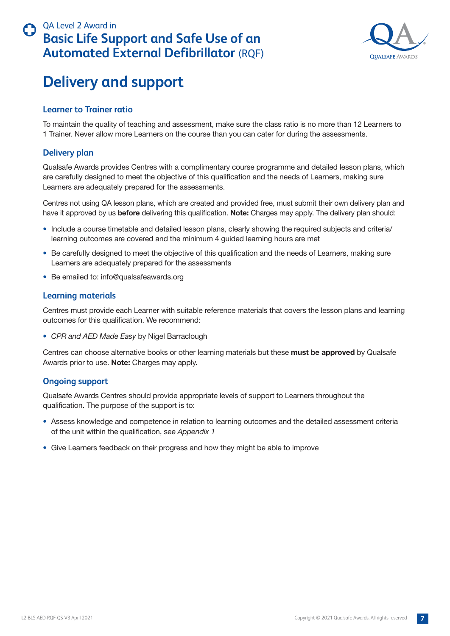

## <span id="page-6-0"></span>**Delivery and support**

#### **Learner to Trainer ratio**

To maintain the quality of teaching and assessment, make sure the class ratio is no more than 12 Learners to 1 Trainer. Never allow more Learners on the course than you can cater for during the assessments.

#### **Delivery plan**

Qualsafe Awards provides Centres with a complimentary course programme and detailed lesson plans, which are carefully designed to meet the objective of this qualification and the needs of Learners, making sure Learners are adequately prepared for the assessments.

Centres not using QA lesson plans, which are created and provided free, must submit their own delivery plan and have it approved by us **before** delivering this qualification. **Note:** Charges may apply. The delivery plan should:

- Include a course timetable and detailed lesson plans, clearly showing the required subjects and criteria/ learning outcomes are covered and the minimum 4 guided learning hours are met
- Be carefully designed to meet the objective of this qualification and the needs of Learners, making sure Learners are adequately prepared for the assessments
- Be emailed to: info@qualsafeawards.org

#### **Learning materials**

Centres must provide each Learner with suitable reference materials that covers the lesson plans and learning outcomes for this qualification. We recommend:

• *CPR and AED Made Easy* by Nigel Barraclough

Centres can choose alternative books or other learning materials but these **must be approved** by Qualsafe Awards prior to use. **Note:** Charges may apply.

#### **Ongoing support**

Qualsafe Awards Centres should provide appropriate levels of support to Learners throughout the qualification. The purpose of the support is to:

- Assess knowledge and competence in relation to learning outcomes and the detailed assessment criteria of the unit within the qualification, see *Appendix 1*
- Give Learners feedback on their progress and how they might be able to improve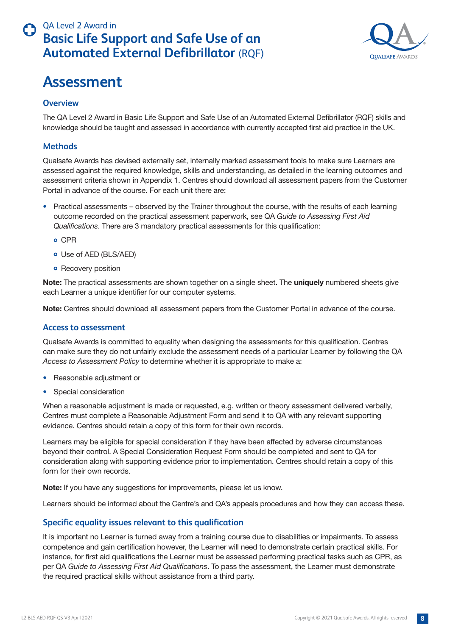

## <span id="page-7-0"></span>**Assessment**

#### **Overview**

The QA Level 2 Award in Basic Life Support and Safe Use of an Automated External Defibrillator (RQF) skills and knowledge should be taught and assessed in accordance with currently accepted first aid practice in the UK.

#### **Methods**

Qualsafe Awards has devised externally set, internally marked assessment tools to make sure Learners are assessed against the required knowledge, skills and understanding, as detailed in the learning outcomes and assessment criteria shown in Appendix 1. Centres should download all assessment papers from the Customer Portal in advance of the course. For each unit there are:

- Practical assessments observed by the Trainer throughout the course, with the results of each learning outcome recorded on the practical assessment paperwork, see QA *Guide to Assessing First Aid Qualifications*. There are 3 mandatory practical assessments for this qualification:
	- CPR
	- Use of AED (BLS/AED)
	- **•** Recovery position

**Note:** The practical assessments are shown together on a single sheet. The **uniquely** numbered sheets give each Learner a unique identifier for our computer systems.

**Note:** Centres should download all assessment papers from the Customer Portal in advance of the course.

#### **Access to assessment**

Qualsafe Awards is committed to equality when designing the assessments for this qualification. Centres can make sure they do not unfairly exclude the assessment needs of a particular Learner by following the QA *Access to Assessment Policy* to determine whether it is appropriate to make a:

- Reasonable adjustment or
- Special consideration

When a reasonable adjustment is made or requested, e.g. written or theory assessment delivered verbally, Centres must complete a Reasonable Adjustment Form and send it to QA with any relevant supporting evidence. Centres should retain a copy of this form for their own records.

Learners may be eligible for special consideration if they have been affected by adverse circumstances beyond their control. A Special Consideration Request Form should be completed and sent to QA for consideration along with supporting evidence prior to implementation. Centres should retain a copy of this form for their own records.

**Note:** If you have any suggestions for improvements, please let us know.

Learners should be informed about the Centre's and QA's appeals procedures and how they can access these.

#### **Specific equality issues relevant to this qualification**

It is important no Learner is turned away from a training course due to disabilities or impairments. To assess competence and gain certification however, the Learner will need to demonstrate certain practical skills. For instance, for first aid qualifications the Learner must be assessed performing practical tasks such as CPR, as per QA *Guide to Assessing First Aid Qualifications*. To pass the assessment, the Learner must demonstrate the required practical skills without assistance from a third party.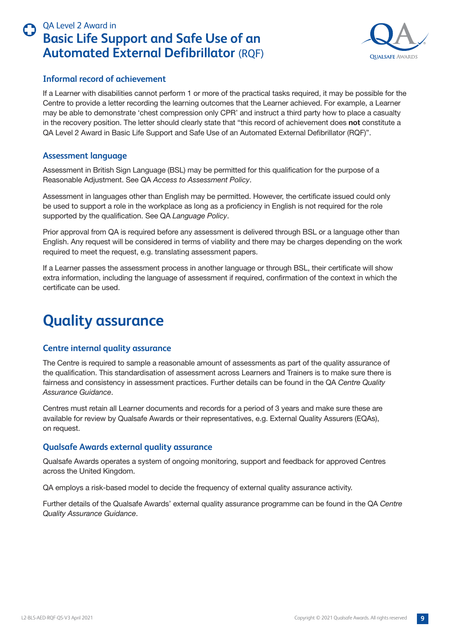

#### <span id="page-8-0"></span>**Informal record of achievement**

If a Learner with disabilities cannot perform 1 or more of the practical tasks required, it may be possible for the Centre to provide a letter recording the learning outcomes that the Learner achieved. For example, a Learner may be able to demonstrate 'chest compression only CPR' and instruct a third party how to place a casualty in the recovery position. The letter should clearly state that "this record of achievement does **not** constitute a QA Level 2 Award in Basic Life Support and Safe Use of an Automated External Defibrillator (RQF)".

#### **Assessment language**

Assessment in British Sign Language (BSL) may be permitted for this qualification for the purpose of a Reasonable Adjustment. See QA *Access to Assessment Policy*.

Assessment in languages other than English may be permitted. However, the certificate issued could only be used to support a role in the workplace as long as a proficiency in English is not required for the role supported by the qualification. See QA *Language Policy*.

Prior approval from QA is required before any assessment is delivered through BSL or a language other than English. Any request will be considered in terms of viability and there may be charges depending on the work required to meet the request, e.g. translating assessment papers.

If a Learner passes the assessment process in another language or through BSL, their certificate will show extra information, including the language of assessment if required, confirmation of the context in which the certificate can be used.

# **Quality assurance**

#### **Centre internal quality assurance**

The Centre is required to sample a reasonable amount of assessments as part of the quality assurance of the qualification. This standardisation of assessment across Learners and Trainers is to make sure there is fairness and consistency in assessment practices. Further details can be found in the QA *Centre Quality Assurance Guidance*.

Centres must retain all Learner documents and records for a period of 3 years and make sure these are available for review by Qualsafe Awards or their representatives, e.g. External Quality Assurers (EQAs), on request.

#### **Qualsafe Awards external quality assurance**

Qualsafe Awards operates a system of ongoing monitoring, support and feedback for approved Centres across the United Kingdom.

QA employs a risk-based model to decide the frequency of external quality assurance activity.

Further details of the Qualsafe Awards' external quality assurance programme can be found in the QA *Centre Quality Assurance Guidance*.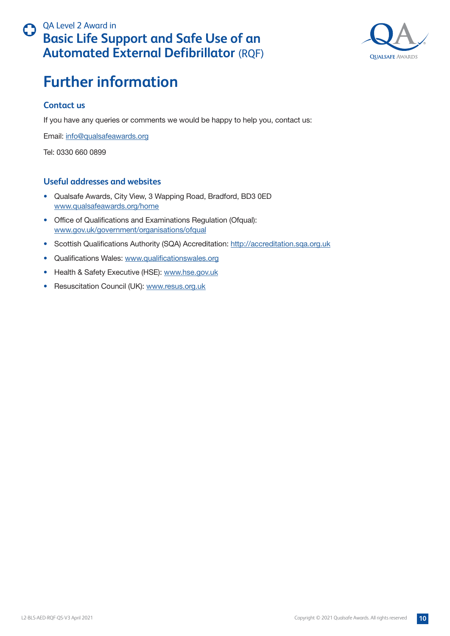

## <span id="page-9-0"></span>**Further information**

#### **Contact us**

If you have any queries or comments we would be happy to help you, contact us:

Email: [info@qualsafeawards.org](mailto:info%40qualsafeawards.org?subject=)

Tel: 0330 660 0899

#### **Useful addresses and websites**

- Qualsafe Awards, City View, 3 Wapping Road, Bradford, BD3 0ED [www.qualsafeawards.org/home](http://www.qualsafeawards.org/home)
- Office of Qualifications and Examinations Regulation (Ofqual): [www.gov.uk/government/organisations/ofqual](http://www.gov.uk/government/organisations/ofqual)
- Scottish Qualifications Authority (SQA) Accreditation:<http://accreditation.sqa.org.uk>
- Qualifications Wales: [www.qualificationswales.org](http://www.qualificationswales.org)
- Health & Safety Executive (HSE): [www.hse.gov.uk](http://www.hse.gov.uk)
- Resuscitation Council (UK): [www.resus.org.uk](http://www.resus.org.uk)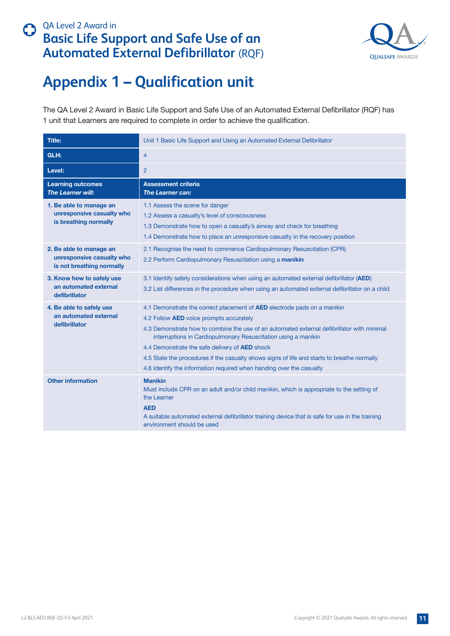

# <span id="page-10-0"></span>**Appendix 1 – Qualification unit**

The QA Level 2 Award in Basic Life Support and Safe Use of an Automated External Defibrillator (RQF) has 1 unit that Learners are required to complete in order to achieve the qualification.

| <b>Title:</b>                                                                     | Unit 1 Basic Life Support and Using an Automated External Defibrillator                                                                                                                                                                                                                                                                                                                                                                                                                                                    |
|-----------------------------------------------------------------------------------|----------------------------------------------------------------------------------------------------------------------------------------------------------------------------------------------------------------------------------------------------------------------------------------------------------------------------------------------------------------------------------------------------------------------------------------------------------------------------------------------------------------------------|
| GLH:                                                                              | $\overline{4}$                                                                                                                                                                                                                                                                                                                                                                                                                                                                                                             |
| Level:                                                                            | 2                                                                                                                                                                                                                                                                                                                                                                                                                                                                                                                          |
| <b>Learning outcomes</b><br>The Learner will:                                     | <b>Assessment criteria</b><br><b>The Learner can:</b>                                                                                                                                                                                                                                                                                                                                                                                                                                                                      |
| 1. Be able to manage an<br>unresponsive casualty who<br>is breathing normally     | 1.1 Assess the scene for danger<br>1.2 Assess a casualty's level of consciousness<br>1.3 Demonstrate how to open a casualty's airway and check for breathing<br>1.4 Demonstrate how to place an unresponsive casualty in the recovery position                                                                                                                                                                                                                                                                             |
| 2. Be able to manage an<br>unresponsive casualty who<br>is not breathing normally | 2.1 Recognise the need to commence Cardiopulmonary Resuscitation (CPR)<br>2.2 Perform Cardiopulmonary Resuscitation using a manikin                                                                                                                                                                                                                                                                                                                                                                                        |
| 3. Know how to safely use<br>an automated external<br>defibrillator               | 3.1 Identify safety considerations when using an automated external defibrillator (AED)<br>3.2 List differences in the procedure when using an automated external defibrillator on a child                                                                                                                                                                                                                                                                                                                                 |
| 4. Be able to safely use<br>an automated external<br>defibrillator                | 4.1 Demonstrate the correct placement of AED electrode pads on a manikin<br>4.2 Follow <b>AED</b> voice prompts accurately<br>4.3 Demonstrate how to combine the use of an automated external defibrillator with minimal<br>interruptions in Cardiopulmonary Resuscitation using a manikin<br>4.4 Demonstrate the safe delivery of <b>AED</b> shock<br>4.5 State the procedures if the casualty shows signs of life and starts to breathe normally<br>4.6 Identify the information required when handing over the casualty |
| <b>Other information</b>                                                          | <b>Manikin</b><br>Must include CPR on an adult and/or child manikin, which is appropriate to the setting of<br>the Learner<br><b>AED</b><br>A suitable automated external defibrillator training device that is safe for use in the training<br>environment should be used                                                                                                                                                                                                                                                 |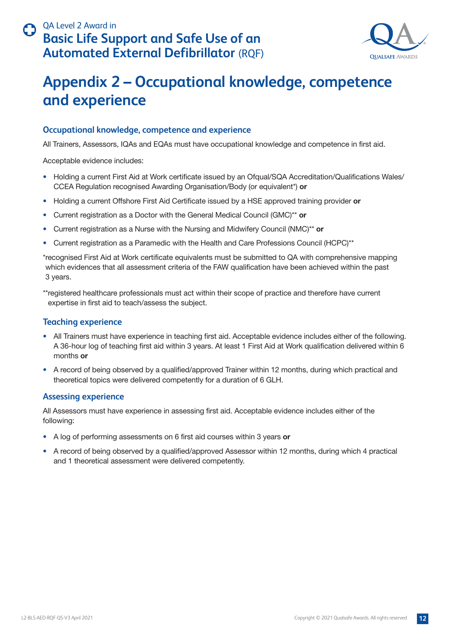

## <span id="page-11-0"></span>**Appendix 2 – Occupational knowledge, competence and experience**

#### **Occupational knowledge, competence and experience**

All Trainers, Assessors, IQAs and EQAs must have occupational knowledge and competence in first aid.

Acceptable evidence includes:

- Holding a current First Aid at Work certificate issued by an Ofqual/SQA Accreditation/Qualifications Wales/ CCEA Regulation recognised Awarding Organisation/Body (or equivalent\*) **or**
- Holding a current Offshore First Aid Certificate issued by a HSE approved training provider **or**
- Current registration as a Doctor with the General Medical Council (GMC)\*\* **or**
- Current registration as a Nurse with the Nursing and Midwifery Council (NMC)\*\* **or**
- Current registration as a Paramedic with the Health and Care Professions Council (HCPC)\*\*

\*recognised First Aid at Work certificate equivalents must be submitted to QA with comprehensive mapping which evidences that all assessment criteria of the FAW qualification have been achieved within the past 3 years.

\*\*registered healthcare professionals must act within their scope of practice and therefore have current expertise in first aid to teach/assess the subject.

#### **Teaching experience**

- All Trainers must have experience in teaching first aid. Acceptable evidence includes either of the following. A 36-hour log of teaching first aid within 3 years. At least 1 First Aid at Work qualification delivered within 6 months **or**
- A record of being observed by a qualified/approved Trainer within 12 months, during which practical and theoretical topics were delivered competently for a duration of 6 GLH.

#### **Assessing experience**

All Assessors must have experience in assessing first aid. Acceptable evidence includes either of the following:

- A log of performing assessments on 6 first aid courses within 3 years **or**
- A record of being observed by a qualified/approved Assessor within 12 months, during which 4 practical and 1 theoretical assessment were delivered competently.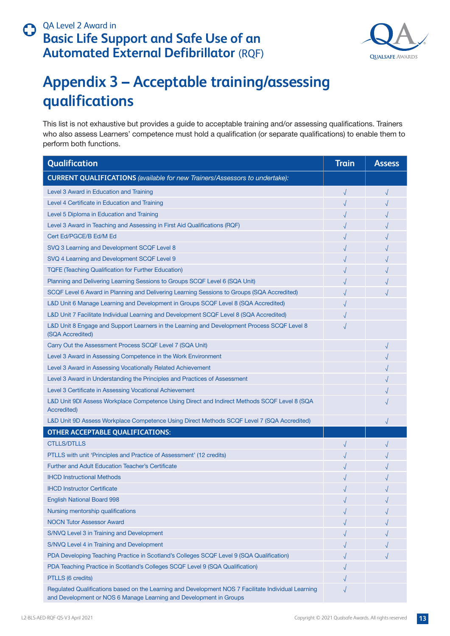

# <span id="page-12-0"></span>**Appendix 3 – Acceptable training/assessing qualifications**

This list is not exhaustive but provides a guide to acceptable training and/or assessing qualifications. Trainers who also assess Learners' competence must hold a qualification (or separate qualifications) to enable them to perform both functions.

| Qualification                                                                                                                                                             | <b>Train</b> | <b>Assess</b> |
|---------------------------------------------------------------------------------------------------------------------------------------------------------------------------|--------------|---------------|
| <b>CURRENT QUALIFICATIONS</b> (available for new Trainers/Assessors to undertake):                                                                                        |              |               |
| Level 3 Award in Education and Training                                                                                                                                   |              | $\sqrt{ }$    |
| Level 4 Certificate in Education and Training                                                                                                                             |              |               |
| Level 5 Diploma in Education and Training                                                                                                                                 |              |               |
| Level 3 Award in Teaching and Assessing in First Aid Qualifications (RQF)                                                                                                 |              |               |
| Cert Ed/PGCE/B Ed/M Ed                                                                                                                                                    |              |               |
| SVQ 3 Learning and Development SCQF Level 8                                                                                                                               |              |               |
| SVQ 4 Learning and Development SCQF Level 9                                                                                                                               |              |               |
| <b>TQFE (Teaching Qualification for Further Education)</b>                                                                                                                |              |               |
| Planning and Delivering Learning Sessions to Groups SCQF Level 6 (SQA Unit)                                                                                               |              |               |
| SCQF Level 6 Award in Planning and Delivering Learning Sessions to Groups (SQA Accredited)                                                                                |              |               |
| L&D Unit 6 Manage Learning and Development in Groups SCQF Level 8 (SQA Accredited)                                                                                        |              |               |
| L&D Unit 7 Facilitate Individual Learning and Development SCQF Level 8 (SQA Accredited)                                                                                   |              |               |
| L&D Unit 8 Engage and Support Learners in the Learning and Development Process SCQF Level 8<br>(SQA Accredited)                                                           |              |               |
| Carry Out the Assessment Process SCQF Level 7 (SQA Unit)                                                                                                                  |              |               |
| Level 3 Award in Assessing Competence in the Work Environment                                                                                                             |              |               |
| Level 3 Award in Assessing Vocationally Related Achievement                                                                                                               |              |               |
| Level 3 Award in Understanding the Principles and Practices of Assessment                                                                                                 |              |               |
| Level 3 Certificate in Assessing Vocational Achievement                                                                                                                   |              |               |
| L&D Unit 9DI Assess Workplace Competence Using Direct and Indirect Methods SCQF Level 8 (SQA<br><b>Accredited)</b>                                                        |              |               |
| L&D Unit 9D Assess Workplace Competence Using Direct Methods SCQF Level 7 (SQA Accredited)                                                                                |              |               |
| <b>OTHER ACCEPTABLE QUALIFICATIONS:</b>                                                                                                                                   |              |               |
| <b>CTLLS/DTLLS</b>                                                                                                                                                        |              |               |
| PTLLS with unit 'Principles and Practice of Assessment' (12 credits)                                                                                                      |              |               |
| <b>Further and Adult Education Teacher's Certificate</b>                                                                                                                  |              |               |
| <b>IHCD Instructional Methods</b>                                                                                                                                         |              |               |
| <b>IHCD Instructor Certificate</b>                                                                                                                                        |              |               |
| <b>English National Board 998</b>                                                                                                                                         |              |               |
| Nursing mentorship qualifications                                                                                                                                         |              |               |
| <b>NOCN Tutor Assessor Award</b>                                                                                                                                          |              |               |
| S/NVQ Level 3 in Training and Development                                                                                                                                 |              |               |
| S/NVQ Level 4 in Training and Development                                                                                                                                 |              |               |
| PDA Developing Teaching Practice in Scotland's Colleges SCQF Level 9 (SQA Qualification)                                                                                  |              |               |
| PDA Teaching Practice in Scotland's Colleges SCQF Level 9 (SQA Qualification)                                                                                             |              |               |
| PTLLS (6 credits)                                                                                                                                                         |              |               |
| Regulated Qualifications based on the Learning and Development NOS 7 Facilitate Individual Learning<br>and Development or NOS 6 Manage Learning and Development in Groups | $\sqrt{}$    |               |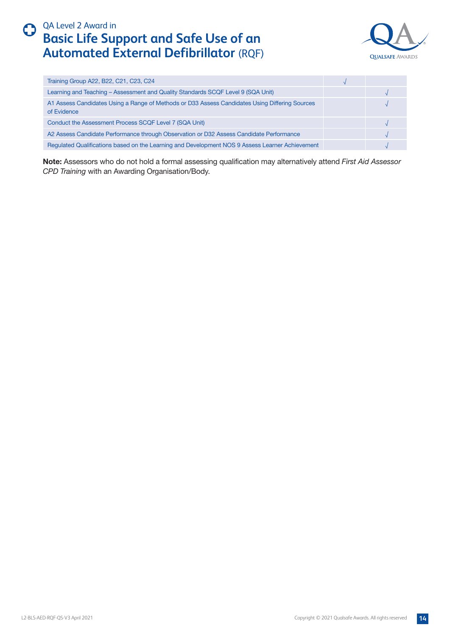



| Training Group A22, B22, C21, C23, C24                                                                        |  |
|---------------------------------------------------------------------------------------------------------------|--|
| Learning and Teaching - Assessment and Quality Standards SCQF Level 9 (SQA Unit)                              |  |
| A1 Assess Candidates Using a Range of Methods or D33 Assess Candidates Using Differing Sources<br>of Evidence |  |
| Conduct the Assessment Process SCQF Level 7 (SQA Unit)                                                        |  |
| A2 Assess Candidate Performance through Observation or D32 Assess Candidate Performance                       |  |
| Regulated Qualifications based on the Learning and Development NOS 9 Assess Learner Achievement               |  |

**Note:** Assessors who do not hold a formal assessing qualification may alternatively attend *First Aid Assessor CPD Training* with an Awarding Organisation/Body.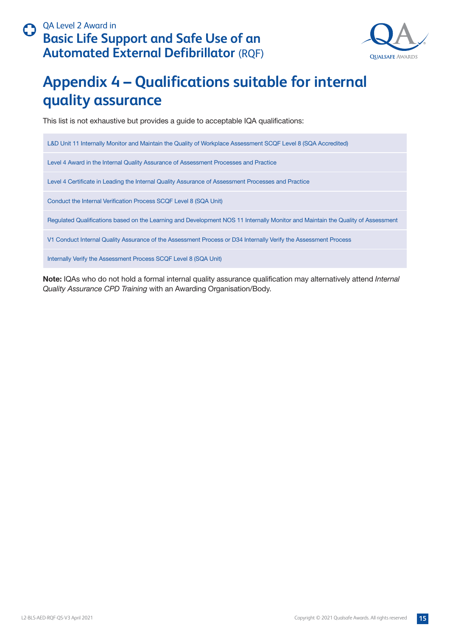

# <span id="page-14-0"></span>**Appendix 4 – Qualifications suitable for internal quality assurance**

This list is not exhaustive but provides a guide to acceptable IQA qualifications:

L&D Unit 11 Internally Monitor and Maintain the Quality of Workplace Assessment SCQF Level 8 (SQA Accredited) Level 4 Award in the Internal Quality Assurance of Assessment Processes and Practice Level 4 Certificate in Leading the Internal Quality Assurance of Assessment Processes and Practice Conduct the Internal Verification Process SCQF Level 8 (SQA Unit) Regulated Qualifications based on the Learning and Development NOS 11 Internally Monitor and Maintain the Quality of Assessment V1 Conduct Internal Quality Assurance of the Assessment Process or D34 Internally Verify the Assessment Process Internally Verify the Assessment Process SCQF Level 8 (SQA Unit)

**Note:** IQAs who do not hold a formal internal quality assurance qualification may alternatively attend *Internal Quality Assurance CPD Training* with an Awarding Organisation/Body.